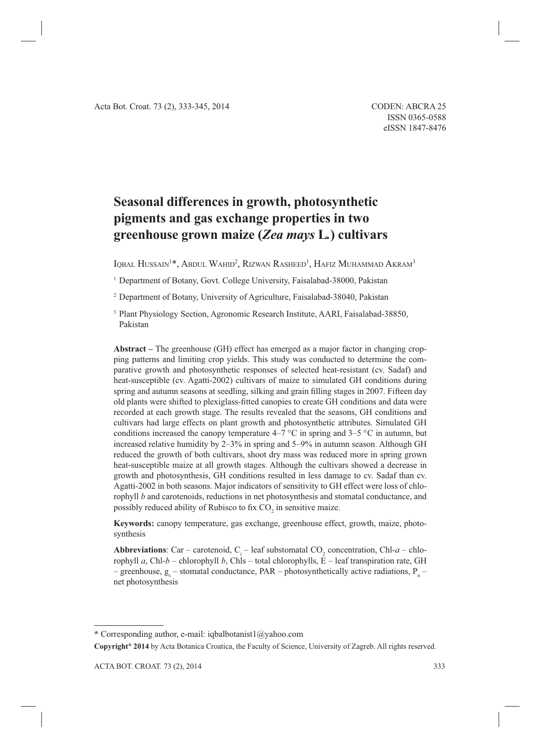# **Seasonal differences in growth, photosynthetic pigments and gas exchange properties in two greenhouse grown maize (***Zea mays* **L***.***) cultivars**

Iqbal Hussain<sup>1\*</sup>, Abdul Wahid<sup>2</sup>, Rizwan Rasheed<sup>1</sup>, Hafiz Muhammad Akram<sup>3</sup>

<sup>1</sup> Department of Botany, Govt. College University, Faisalabad-38000, Pakistan

2 Department of Botany, University of Agriculture, Faisalabad-38040, Pakistan

3 Plant Physiology Section, Agronomic Research Institute, AARI, Faisalabad-38850, Pakistan

**Abstract –** The greenhouse (GH) effect has emerged as a major factor in changing cropping patterns and limiting crop yields. This study was conducted to determine the comparative growth and photosynthetic responses of selected heat-resistant (cv. Sadaf) and heat-susceptible (cv. Agatti-2002) cultivars of maize to simulated GH conditions during spring and autumn seasons at seedling, silking and grain filling stages in 2007. Fifteen day old plants were shifted to plexiglass-fitted canopies to create GH conditions and data were recorded at each growth stage. The results revealed that the seasons, GH conditions and cultivars had large effects on plant growth and photosynthetic attributes. Simulated GH conditions increased the canopy temperature  $4-7$  °C in spring and  $3-5$  °C in autumn, but increased relative humidity by 2–3% in spring and 5–9% in autumn season. Although GH reduced the growth of both cultivars, shoot dry mass was reduced more in spring grown heat-susceptible maize at all growth stages. Although the cultivars showed a decrease in growth and photosynthesis, GH conditions resulted in less damage to cv. Sadaf than cv. Agatti-2002 in both seasons. Major indicators of sensitivity to GH effect were loss of chlorophyll *b* and carotenoids, reductions in net photosynthesis and stomatal conductance, and possibly reduced ability of Rubisco to fix  $CO_2$  in sensitive maize.

**Keywords:** canopy temperature, gas exchange, greenhouse effect, growth, maize, photosynthesis

**Abbreviations**: Car – carotenoid,  $C_i$  – leaf substomatal CO<sub>2</sub> concentration, Chl-*a* – chlorophyll *a*, Chl-*b* – chlorophyll *b*, Chls – total chlorophylls, E – leaf transpiration rate, GH – greenhouse,  $g_s$  – stomatal conductance, PAR – photosynthetically active radiations,  $P_n$  – net photosynthesis

**Copyright® 2014** by Acta Botanica Croatica, the Faculty of Science, University of Zagreb. All rights reserved.

**<sup>\*</sup>** Corresponding author, e-mail: iqbalbotanist1@yahoo.com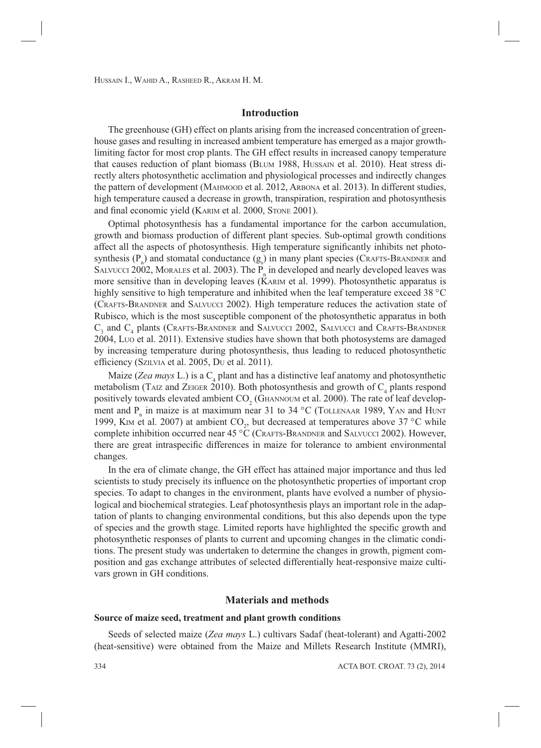# **Introduction**

The greenhouse (GH) effect on plants arising from the increased concentration of greenhouse gases and resulting in increased ambient temperature has emerged as a major growthlimiting factor for most crop plants. The GH effect results in increased canopy temperature that causes reduction of plant biomass (BLUM 1988, HUSSAIN et al. 2010). Heat stress directly alters photosynthetic acclimation and physiological processes and indirectly changes the pattern of development (MAHMOOD et al. 2012, ARBONA et al. 2013). In different studies, high temperature caused a decrease in growth, transpiration, respiration and photosynthesis and final economic yield (KARIM et al. 2000, STONE 2001).

Optimal photosynthesis has a fundamental importance for the carbon accumulation, growth and biomass production of different plant species. Sub-optimal growth conditions affect all the aspects of photosynthesis. High temperature significantly inhibits net photosynthesis  $(P_n)$  and stomatal conductance  $(g_s)$  in many plant species (CRAFTS-BRANDNER and SALVUCCI 2002, MORALES et al. 2003). The  $P_n$  in developed and nearly developed leaves was more sensitive than in developing leaves (KARIM et al. 1999). Photosynthetic apparatus is highly sensitive to high temperature and inhibited when the leaf temperature exceed 38 °C (CRAFTS-BRANDNER and SALVUCCI 2002). High temperature reduces the activation state of Rubisco, which is the most susceptible component of the photosynthetic apparatus in both  $C_3$  and  $C_4$  plants (Crafts-Brandner and Salvucci 2002, Salvucci and Crafts-Brandner 2004, LUO et al. 2011). Extensive studies have shown that both photosystems are damaged by increasing temperature during photosynthesis, thus leading to reduced photosynthetic efficiency (SZILVIA et al. 2005, Du et al. 2011).

Maize (*Zea mays* L.) is a C<sub>4</sub> plant and has a distinctive leaf anatomy and photosynthetic metabolism (TAIZ and ZEIGER 2010). Both photosynthesis and growth of  $C_4$  plants respond positively towards elevated ambient  $\text{CO}_2$  (GHANNOUM et al. 2000). The rate of leaf development and  $P_n$  in maize is at maximum near 31 to 34 °C (TOLLENAAR 1989, YAN and HUNT 1999, KIM et al. 2007) at ambient  $CO_2$ , but decreased at temperatures above 37 °C while complete inhibition occurred near 45 °C (CRAFTS-BRANDNER and SALVUCCI 2002). However, there are great intraspecific differences in maize for tolerance to ambient environmental changes.

In the era of climate change, the GH effect has attained major importance and thus led scientists to study precisely its influence on the photosynthetic properties of important crop species. To adapt to changes in the environment, plants have evolved a number of physiological and biochemical strategies. Leaf photosynthesis plays an important role in the adaptation of plants to changing environmental conditions, but this also depends upon the type of species and the growth stage. Limited reports have highlighted the specific growth and photosynthetic responses of plants to current and upcoming changes in the climatic conditions. The present study was undertaken to determine the changes in growth, pigment composition and gas exchange attributes of selected differentially heat-responsive maize cultivars grown in GH conditions.

### **Materials and methods**

#### **Source of maize seed, treatment and plant growth conditions**

Seeds of selected maize (*Zea mays* L.) cultivars Sadaf (heat-tolerant) and Agatti-2002 (heat-sensitive) were obtained from the Maize and Millets Research Institute (MMRI),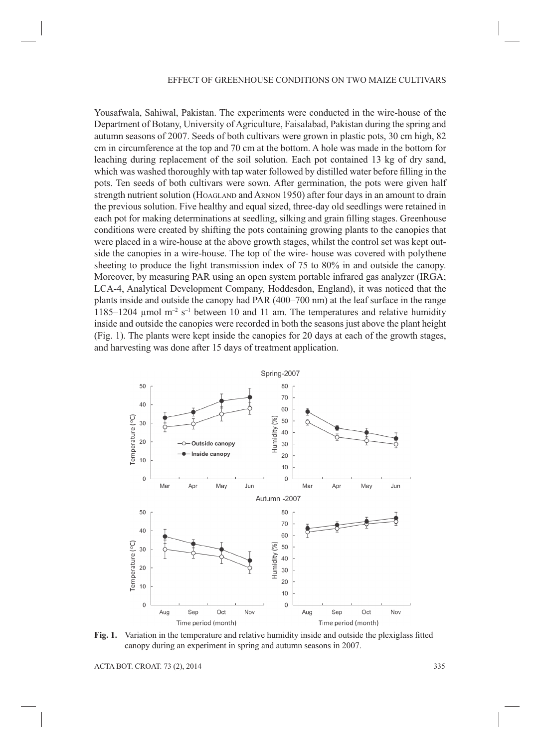Yousafwala, Sahiwal, Pakistan. The experiments were conducted in the wire-house of the Department of Botany, University of Agriculture, Faisalabad, Pakistan during the spring and autumn seasons of 2007. Seeds of both cultivars were grown in plastic pots, 30 cm high, 82 cm in circumference at the top and 70 cm at the bottom. A hole was made in the bottom for leaching during replacement of the soil solution. Each pot contained 13 kg of dry sand, which was washed thoroughly with tap water followed by distilled water before filling in the pots. Ten seeds of both cultivars were sown. After germination, the pots were given half strength nutrient solution (HOAGLAND and ARNON 1950) after four days in an amount to drain the previous solution. Five healthy and equal sized, three-day old seedlings were retained in each pot for making determinations at seedling, silking and grain filling stages. Greenhouse conditions were created by shifting the pots containing growing plants to the canopies that were placed in a wire-house at the above growth stages, whilst the control set was kept outside the canopies in a wire-house. The top of the wire- house was covered with polythene sheeting to produce the light transmission index of 75 to 80% in and outside the canopy. Moreover, by measuring PAR using an open system portable infrared gas analyzer (IRGA; LCA-4, Analytical Development Company, Hoddesdon, England), it was noticed that the plants inside and outside the canopy had PAR (400–700 nm) at the leaf surface in the range 1185–1204  $\mu$ mol m<sup>-2</sup> s<sup>-1</sup> between 10 and 11 am. The temperatures and relative humidity inside and outside the canopies were recorded in both the seasons just above the plant height (Fig. 1). The plants were kept inside the canopies for 20 days at each of the growth stages, and harvesting was done after 15 days of treatment application.



**Fig. 1.** Variation in the temperature and relative humidity inside and outside the plexiglass fitted canopy during an experiment in spring and autumn seasons in 2007.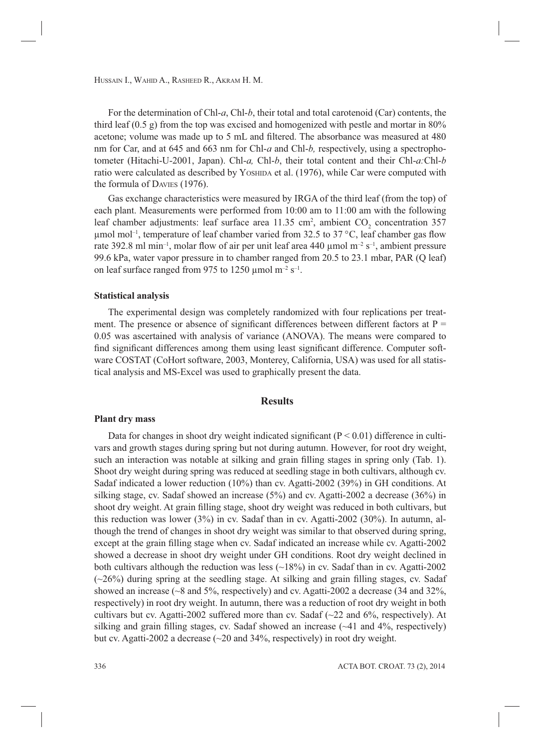For the determination of Chl-*a*, Chl-*b*, their total and total carotenoid (Car) contents, the third leaf  $(0.5 \text{ g})$  from the top was excised and homogenized with pestle and mortar in 80% acetone; volume was made up to 5 mL and filtered. The absorbance was measured at 480 nm for Car, and at 645 and 663 nm for Chl-*a* and Chl-*b,* respectively, using a spectrophotometer (Hitachi-U-2001, Japan). Chl-*a,* Chl-*b*, their total content and their Chl-*a:*Chl-*b* ratio were calculated as described by YOSHIDA et al. (1976), while Car were computed with the formula of DAVIES (1976).

Gas exchange characteristics were measured by IRGA of the third leaf (from the top) of each plant. Measurements were performed from 10:00 am to 11:00 am with the following leaf chamber adjustments: leaf surface area  $11.35 \text{ cm}^2$ , ambient  $CO_2$  concentration 357 umol mol<sup>-1</sup>, temperature of leaf chamber varied from 32.5 to 37 °C, leaf chamber gas flow rate 392.8 ml min<sup>-1</sup>, molar flow of air per unit leaf area 440 µmol m<sup>-2</sup> s<sup>-1</sup>, ambient pressure 99.6 kPa, water vapor pressure in to chamber ranged from 20.5 to 23.1 mbar, PAR (Q leaf) on leaf surface ranged from 975 to 1250 µmol  $m^{-2}$  s<sup>-1</sup>.

#### **Statistical analysis**

The experimental design was completely randomized with four replications per treatment. The presence or absence of significant differences between different factors at  $P =$ 0.05 was ascertained with analysis of variance (ANOVA). The means were compared to find significant differences among them using least significant difference. Computer software COSTAT (CoHort software, 2003, Monterey, California, USA) was used for all statistical analysis and MS-Excel was used to graphically present the data.

# **Results**

#### **Plant dry mass**

Data for changes in shoot dry weight indicated significant ( $P < 0.01$ ) difference in cultivars and growth stages during spring but not during autumn. However, for root dry weight, such an interaction was notable at silking and grain filling stages in spring only (Tab. 1). Shoot dry weight during spring was reduced at seedling stage in both cultivars, although cv. Sadaf indicated a lower reduction (10%) than cv. Agatti-2002 (39%) in GH conditions. At silking stage, cv. Sadaf showed an increase (5%) and cv. Agatti-2002 a decrease (36%) in shoot dry weight. At grain filling stage, shoot dry weight was reduced in both cultivars, but this reduction was lower (3%) in cv. Sadaf than in cv. Agatti-2002 (30%). In autumn, although the trend of changes in shoot dry weight was similar to that observed during spring, except at the grain filling stage when cv. Sadaf indicated an increase while cv. Agatti-2002 showed a decrease in shoot dry weight under GH conditions. Root dry weight declined in both cultivars although the reduction was less  $(\sim 18\%)$  in cv. Sadaf than in cv. Agatti-2002  $(\sim26\%)$  during spring at the seedling stage. At silking and grain filling stages, cv. Sadaf showed an increase  $\sim$ 8 and 5%, respectively) and cv. Agatti-2002 a decrease (34 and 32%, respectively) in root dry weight. In autumn, there was a reduction of root dry weight in both cultivars but cv. Agatti-2002 suffered more than cv. Sadaf  $(\sim 22$  and 6%, respectively). At silking and grain filling stages, cv. Sadaf showed an increase  $(\sim 41$  and  $4\%$ , respectively) but cv. Agatti-2002 a decrease (~20 and 34%, respectively) in root dry weight.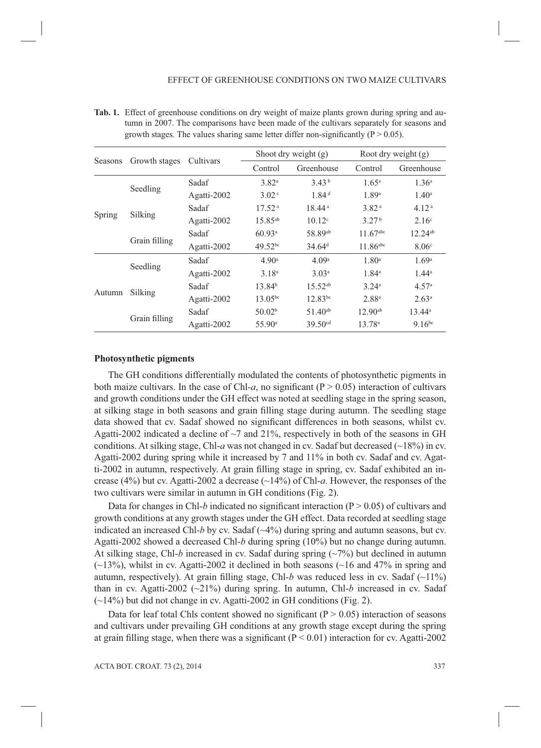| Seasons | Growth stages | Cultivars   | Shoot dry weight $(g)$ |                      | Root dry weight (g)    |                   |
|---------|---------------|-------------|------------------------|----------------------|------------------------|-------------------|
|         |               |             | Control                | Greenhouse           | Control                | Greenhouse        |
| Spring  | Seedling      | Sadaf       | 3.82 <sup>a</sup>      | 3.43 <sup>b</sup>    | $1.65^{\circ}$         | 1.36 <sup>a</sup> |
|         |               | Agatti-2002 | 3.02 <sup>c</sup>      | 1.84 <sup>d</sup>    | 1.89 <sup>a</sup>      | $1.40^{\rm a}$    |
|         | Silking       | Sadaf       | 17.52 <sup>a</sup>     | 18.44 <sup>a</sup>   | 3.82 <sup>a</sup>      | 4.12 <sup>a</sup> |
|         |               | Agatti-2002 | $15.85^{ab}$           | $10.12^{\circ}$      | 3.27 <sup>b</sup>      | $2.16^{\circ}$    |
|         | Grain filling | Sadaf       | 60.93a                 | 58.89ab              | $11.67$ <sup>abc</sup> | $12.24^{ab}$      |
|         |               | Agatti-2002 | $49.52^{bc}$           | $34.64$ <sup>d</sup> | $11.86$ <sup>abc</sup> | 8.06 <sup>c</sup> |
| Autumn  | Seedling      | Sadaf       | 4.90 <sup>a</sup>      | 4.09 <sup>a</sup>    | 1.80 <sup>a</sup>      | 1.69 <sup>a</sup> |
|         |               | Agatti-2002 | 3.18 <sup>a</sup>      | 3.03 <sup>a</sup>    | $1.84^a$               | $1.44^a$          |
|         | Silking       | Sadaf       | 13.84 <sup>b</sup>     | $15.52^{ab}$         | 3.24a                  | 4.57 <sup>a</sup> |
|         |               | Agatti-2002 | $13.05^{bc}$           | $12.83^{bc}$         | 2.88 <sup>a</sup>      | 2.63 <sup>a</sup> |
|         | Grain filling | Sadaf       | 50.02 <sup>b</sup>     | $51.40^{ab}$         | $12.90^{ab}$           | $13.44^a$         |
|         |               | Agatti-2002 | 55.90 <sup>a</sup>     | 39.50 <sup>cd</sup>  | 13.78 <sup>a</sup>     | $9.16^{bc}$       |

**Tab. 1.** Effect of greenhouse conditions on dry weight of maize plants grown during spring and autumn in 2007. The comparisons have been made of the cultivars separately for seasons and growth stages. The values sharing same letter differ non-significantly ( $P > 0.05$ ).

#### **Photosynthetic pigments**

The GH conditions differentially modulated the contents of photosynthetic pigments in both maize cultivars. In the case of Chl- $a$ , no significant ( $P > 0.05$ ) interaction of cultivars and growth conditions under the GH effect was noted at seedling stage in the spring season, at silking stage in both seasons and grain filling stage during autumn. The seedling stage data showed that cv. Sadaf showed no significant differences in both seasons, whilst cv. Agatti-2002 indicated a decline of  $\sim$ 7 and 21%, respectively in both of the seasons in GH conditions. At silking stage, Chl-*a* was not changed in cv. Sadaf but decreased ( $\sim$ 18%) in cv. Agatti-2002 during spring while it increased by 7 and 11% in both cv. Sadaf and cv. Agatti-2002 in autumn, respectively. At grain filling stage in spring, cv. Sadaf exhibited an increase (4%) but cv. Agatti-2002 a decrease (~14%) of Chl-*a*. However, the responses of the two cultivars were similar in autumn in GH conditions (Fig. 2).

Data for changes in Chl-*b* indicated no significant interaction ( $P > 0.05$ ) of cultivars and growth conditions at any growth stages under the GH effect. Data recorded at seedling stage indicated an increased Chl-*b* by cv. Sadaf  $(\sim 4\%)$  during spring and autumn seasons, but cv. Agatti-2002 showed a decreased Chl-*b* during spring (10%) but no change during autumn. At silking stage, Chl- $b$  increased in cv. Sadaf during spring  $(\sim 7\%)$  but declined in autumn  $(\sim)13\%$ ), whilst in cv. Agatti-2002 it declined in both seasons ( $\sim$ 16 and 47% in spring and autumn, respectively). At grain filling stage, Chl-b was reduced less in cv. Sadaf  $(\sim 11\%)$ than in cv. Agatti-2002 ( $\sim$ 21%) during spring. In autumn, Chl-*b* increased in cv. Sadaf  $(\sim)$  14%) but did not change in cv. Agatti-2002 in GH conditions (Fig. 2).

Data for leaf total Chls content showed no significant  $(P > 0.05)$  interaction of seasons and cultivars under prevailing GH conditions at any growth stage except during the spring at grain filling stage, when there was a significant ( $P < 0.01$ ) interaction for cv. Agatti-2002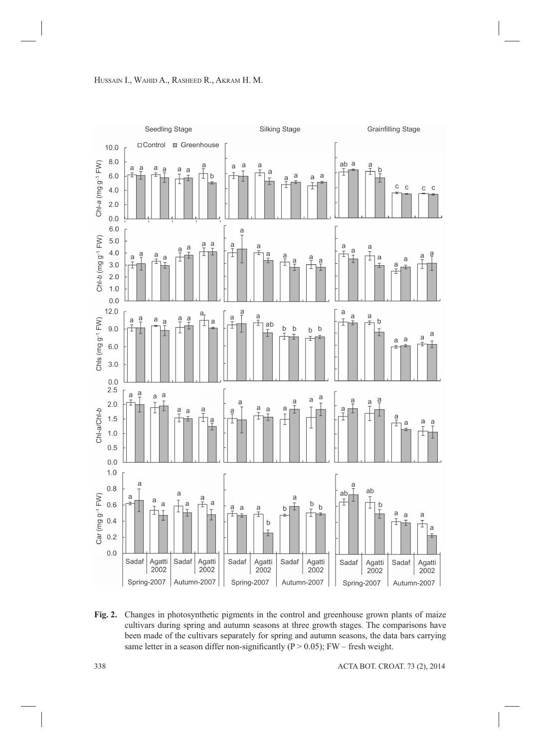

**Fig. 2.** Changes in photosynthetic pigments in the control and greenhouse grown plants of maize cultivars during spring and autumn seasons at three growth stages. The comparisons have been made of the cultivars separately for spring and autumn seasons, the data bars carrying same letter in a season differ non-significantly ( $P > 0.05$ ); FW – fresh weight.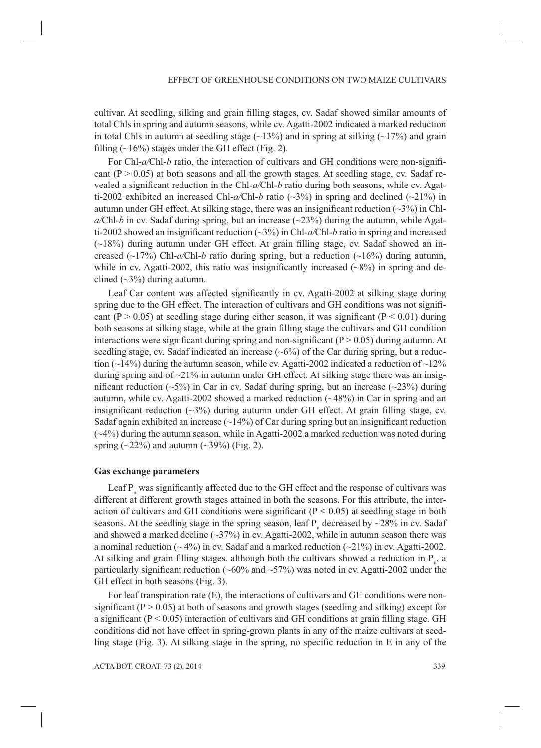cultivar. At seedling, silking and grain filling stages, cv. Sadaf showed similar amounts of total Chls in spring and autumn seasons, while cv. Agatti-2002 indicated a marked reduction in total Chls in autumn at seedling stage  $(\sim 13\%)$  and in spring at silking  $(\sim 17\%)$  and grain filling  $(\sim]16\%)$  stages under the GH effect (Fig. 2).

For Chl-*a/Chl-b* ratio, the interaction of cultivars and GH conditions were non-significant  $(P > 0.05)$  at both seasons and all the growth stages. At seedling stage, cv. Sadaf revealed a significant reduction in the Chl-*a*/Chl-*b* ratio during both seasons, while cv. Agatti-2002 exhibited an increased Chl-*a/*Chl-*b* ratio (~3%) in spring and declined (~21%) in autumn under GH effect. At silking stage, there was an insignificant reduction  $(\sim 3\%)$  in Chl $a$ /Chl-*b* in cv. Sadaf during spring, but an increase  $(\sim 23\%)$  during the autumn, while Agatti-2002 showed an insignificant reduction  $(\sim 3\%)$  in Chl- $a$ /Chl- $b$  ratio in spring and increased  $(\sim18\%)$  during autumn under GH effect. At grain filling stage, cv. Sadaf showed an increased (~17%) Chl-*a/*Chl-*b* ratio during spring, but a reduction (~16%) during autumn, while in cv. Agatti-2002, this ratio was insignificantly increased  $(\sim 8\%)$  in spring and declined  $(\sim 3\%)$  during autumn.

Leaf Car content was affected significantly in cv. Agatti-2002 at silking stage during spring due to the GH effect. The interaction of cultivars and GH conditions was not significant (P  $> 0.05$ ) at seedling stage during either season, it was significant (P  $< 0.01$ ) during both seasons at silking stage, while at the grain filling stage the cultivars and GH condition interactions were significant during spring and non-significant ( $P > 0.05$ ) during autumn. At seedling stage, cv. Sadaf indicated an increase  $(-6%)$  of the Car during spring, but a reduction ( $\sim$ 14%) during the autumn season, while cv. Agatti-2002 indicated a reduction of  $\sim$ 12% during spring and of  $\sim$ 21% in autumn under GH effect. At silking stage there was an insignificant reduction (~5%) in Car in cv. Sadaf during spring, but an increase (~23%) during autumn, while cv. Agatti-2002 showed a marked reduction  $(\sim 48\%)$  in Car in spring and an insignificant reduction  $(\sim 3\%)$  during autumn under GH effect. At grain filling stage, cv. Sadaf again exhibited an increase  $(\sim 14\%)$  of Car during spring but an insignificant reduction (~4%) during the autumn season, while in Agatti-2002 a marked reduction was noted during spring  $(\sim 22\%)$  and autumn  $(\sim 39\%)$  (Fig. 2).

## **Gas exchange parameters**

Leaf  $P_n$  was significantly affected due to the GH effect and the response of cultivars was different at different growth stages attained in both the seasons. For this attribute, the interaction of cultivars and GH conditions were significant ( $P < 0.05$ ) at seedling stage in both seasons. At the seedling stage in the spring season, leaf  $P_n$  decreased by ~28% in cv. Sadaf and showed a marked decline  $(\sim]37\%)$  in cv. Agatti-2002, while in autumn season there was a nominal reduction ( $\sim$  4%) in cv. Sadaf and a marked reduction ( $\sim$  21%) in cv. Agatti-2002. At silking and grain filling stages, although both the cultivars showed a reduction in  $P_{n}$ , a particularly significant reduction ( $\sim 60\%$  and  $\sim 57\%$ ) was noted in cv. Agatti-2002 under the GH effect in both seasons (Fig. 3).

For leaf transpiration rate (E), the interactions of cultivars and GH conditions were nonsignificant ( $P > 0.05$ ) at both of seasons and growth stages (seedling and silking) except for a significant ( $P < 0.05$ ) interaction of cultivars and GH conditions at grain filling stage. GH conditions did not have effect in spring-grown plants in any of the maize cultivars at seedling stage (Fig. 3). At silking stage in the spring, no specific reduction in  $E$  in any of the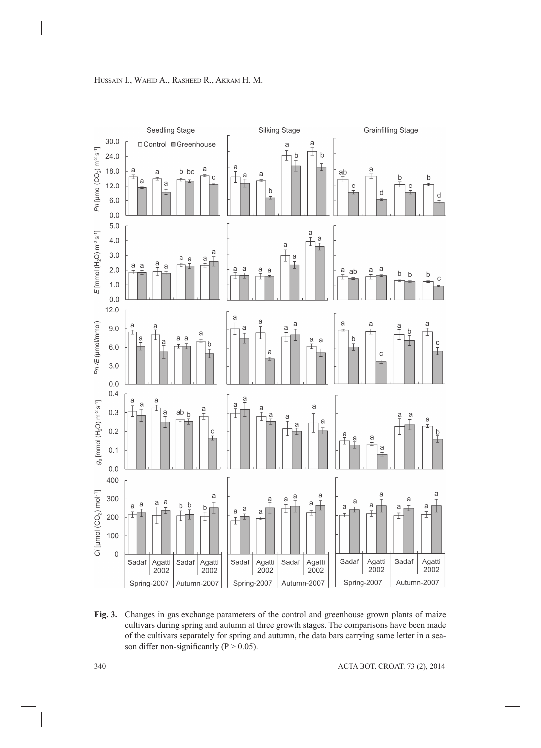

**Fig. 3.** Changes in gas exchange parameters of the control and greenhouse grown plants of maize cultivars during spring and autumn at three growth stages. The comparisons have been made of the cultivars separately for spring and autumn, the data bars carrying same letter in a season differ non-significantly ( $P > 0.05$ ).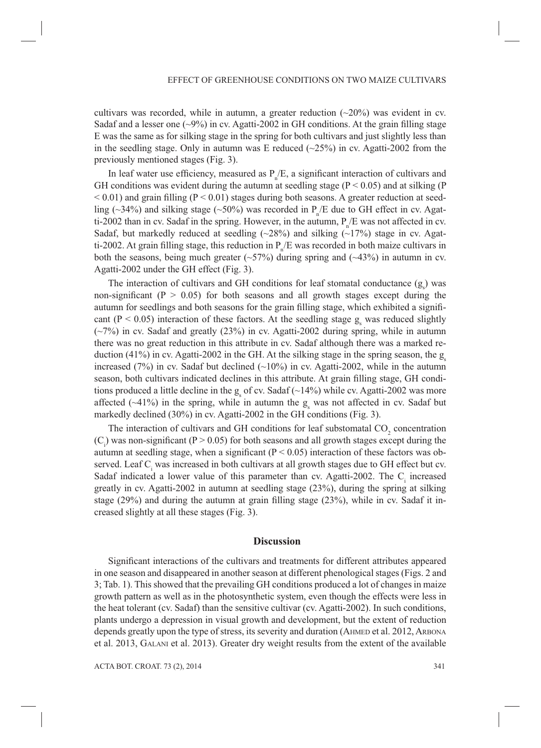cultivars was recorded, while in autumn, a greater reduction  $(\sim 20\%)$  was evident in cv. Sadaf and a lesser one  $(\sim 9\%)$  in cv. Agatti-2002 in GH conditions. At the grain filling stage E was the same as for silking stage in the spring for both cultivars and just slightly less than in the seedling stage. Only in autumn was E reduced  $(\sim 25\%)$  in cv. Agatti-2002 from the previously mentioned stages (Fig. 3).

In leaf water use efficiency, measured as  $P_{n}/E$ , a significant interaction of cultivars and GH conditions was evident during the autumn at seedling stage ( $P < 0.05$ ) and at silking (P  $< 0.01$ ) and grain filling (P $< 0.01$ ) stages during both seasons. A greater reduction at seedling (~34%) and silking stage (~50%) was recorded in  $P_{n}/E$  due to GH effect in cv. Agatti-2002 than in cv. Sadaf in the spring. However, in the autumn,  $P_{n}/E$  was not affected in cv. Sadaf, but markedly reduced at seedling  $(\sim 28\%)$  and silking  $(\sim 17\%)$  stage in cv. Agatti-2002. At grain filling stage, this reduction in  $P_{n}/E$  was recorded in both maize cultivars in both the seasons, being much greater  $(\sim 57\%)$  during spring and  $(\sim 43\%)$  in autumn in cv. Agatti-2002 under the GH effect (Fig. 3).

The interaction of cultivars and GH conditions for leaf stomatal conductance  $(g_s)$  was non-significant ( $P > 0.05$ ) for both seasons and all growth stages except during the autumn for seedlings and both seasons for the grain filling stage, which exhibited a significant ( $P < 0.05$ ) interaction of these factors. At the seedling stage  $g_s$  was reduced slightly (~7%) in cv. Sadaf and greatly (23%) in cv. Agatti-2002 during spring, while in autumn there was no great reduction in this attribute in cv. Sadaf although there was a marked reduction  $(41\%)$  in cv. Agatti-2002 in the GH. At the silking stage in the spring season, the g increased (7%) in cv. Sadaf but declined  $(\sim 10\%)$  in cv. Agatti-2002, while in the autumn season, both cultivars indicated declines in this attribute. At grain filling stage, GH conditions produced a little decline in the  $g_s$  of cv. Sadaf ( $\sim$ 14%) while cv. Agatti-2002 was more affected ( $\sim$ 41%) in the spring, while in autumn the  $g<sub>s</sub>$  was not affected in cv. Sadaf but markedly declined (30%) in cv. Agatti-2002 in the GH conditions (Fig. 3).

The interaction of cultivars and GH conditions for leaf substomatal  $CO<sub>2</sub>$  concentration  $(C<sub>i</sub>)$  was non-significant (P > 0.05) for both seasons and all growth stages except during the autumn at seedling stage, when a significant ( $P < 0.05$ ) interaction of these factors was observed. Leaf C<sub>i</sub> was increased in both cultivars at all growth stages due to GH effect but cv. Sadaf indicated a lower value of this parameter than cv. Agatti-2002. The  $C<sub>i</sub>$  increased greatly in cv. Agatti-2002 in autumn at seedling stage (23%), during the spring at silking stage  $(29%)$  and during the autumn at grain filling stage  $(23%)$ , while in cv. Sadaf it increased slightly at all these stages (Fig. 3).

#### **Discussion**

Significant interactions of the cultivars and treatments for different attributes appeared in one season and disappeared in another season at different phenological stages (Figs. 2 and 3; Tab. 1). This showed that the prevailing GH conditions produced a lot of changes in maize growth pattern as well as in the photosynthetic system, even though the effects were less in the heat tolerant (cv. Sadaf) than the sensitive cultivar (cv. Agatti-2002). In such conditions, plants undergo a depression in visual growth and development, but the extent of reduction depends greatly upon the type of stress, its severity and duration (AHMED et al. 2012, ARBONA et al. 2013, GALANI et al. 2013). Greater dry weight results from the extent of the available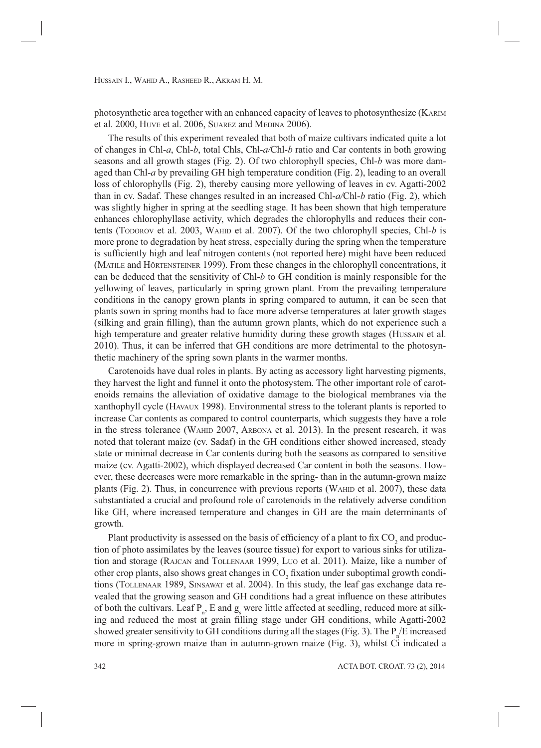photosynthetic area together with an enhanced capacity of leaves to photosynthesize (KARIM et al. 2000, HUVE et al. 2006, SUAREZ and MEDINA 2006).

The results of this experiment revealed that both of maize cultivars indicated quite a lot of changes in Chl-*a*, Chl-*b*, total Chls, Chl-*a/*Chl-*b* ratio and Car contents in both growing seasons and all growth stages (Fig. 2). Of two chlorophyll species, Chl-*b* was more damaged than Chl-*a* by prevailing GH high temperature condition (Fig. 2), leading to an overall loss of chlorophylls (Fig. 2), thereby causing more yellowing of leaves in cv. Agatti-2002 than in cv. Sadaf. These changes resulted in an increased Chl-*a/*Chl-*b* ratio (Fig. 2), which was slightly higher in spring at the seedling stage. It has been shown that high temperature enhances chlorophyllase activity, which degrades the chlorophylls and reduces their contents (TODOROV et al. 2003, WAHID et al. 2007). Of the two chlorophyll species, Chl-*b* is more prone to degradation by heat stress, especially during the spring when the temperature is sufficiently high and leaf nitrogen contents (not reported here) might have been reduced (MATILE and HÖRTENSTEINER 1999). From these changes in the chlorophyll concentrations, it can be deduced that the sensitivity of Chl-*b* to GH condition is mainly responsible for the yellowing of leaves, particularly in spring grown plant. From the prevailing temperature conditions in the canopy grown plants in spring compared to autumn, it can be seen that plants sown in spring months had to face more adverse temperatures at later growth stages (silking and grain filling), than the autumn grown plants, which do not experience such a high temperature and greater relative humidity during these growth stages (HUSSAIN et al. 2010). Thus, it can be inferred that GH conditions are more detrimental to the photosynthetic machinery of the spring sown plants in the warmer months.

Carotenoids have dual roles in plants. By acting as accessory light harvesting pigments, they harvest the light and funnel it onto the photosystem. The other important role of carotenoids remains the alleviation of oxidative damage to the biological membranes via the xanthophyll cycle (HAVAUX 1998). Environmental stress to the tolerant plants is reported to increase Car contents as compared to control counterparts, which suggests they have a role in the stress tolerance (WAHID 2007, ARBONA et al. 2013). In the present research, it was noted that tolerant maize (cv. Sadaf) in the GH conditions either showed increased, steady state or minimal decrease in Car contents during both the seasons as compared to sensitive maize (cv. Agatti-2002), which displayed decreased Car content in both the seasons. However, these decreases were more remarkable in the spring- than in the autumn-grown maize plants (Fig. 2). Thus, in concurrence with previous reports (WAHID et al. 2007), these data substantiated a crucial and profound role of carotenoids in the relatively adverse condition like GH, where increased temperature and changes in GH are the main determinants of growth.

Plant productivity is assessed on the basis of efficiency of a plant to fix  $\mathrm{CO}_2$  and production of photo assimilates by the leaves (source tissue) for export to various sinks for utilization and storage (RAJCAN and TOLLENAAR 1999, LUO et al. 2011). Maize, like a number of other crop plants, also shows great changes in  $CO_2$  fixation under suboptimal growth conditions (TOLLENAAR 1989, SINSAWAT et al. 2004). In this study, the leaf gas exchange data revealed that the growing season and GH conditions had a great influence on these attributes of both the cultivars. Leaf  $P_n$ , E and  $g_s$  were little affected at seedling, reduced more at silking and reduced the most at grain filling stage under GH conditions, while Agatti-2002 showed greater sensitivity to GH conditions during all the stages (Fig. 3). The  $P_{n}/E$  increased more in spring-grown maize than in autumn-grown maize (Fig. 3), whilst Ci indicated a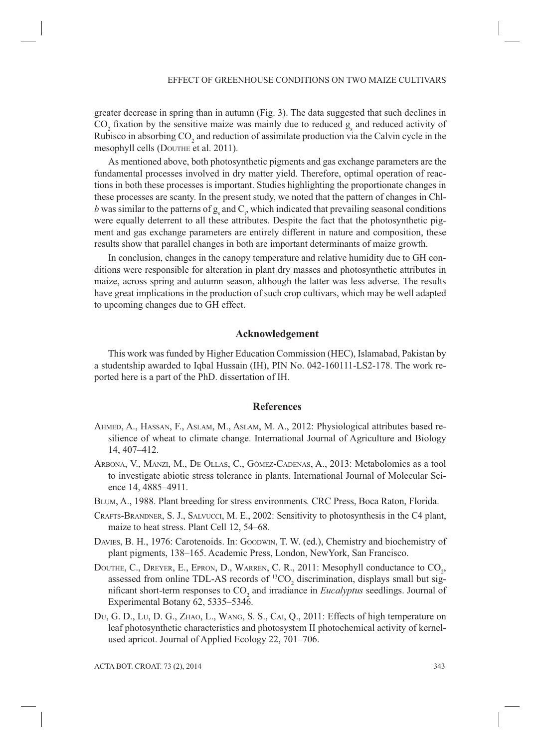greater decrease in spring than in autumn (Fig. 3). The data suggested that such declines in  $\rm CO_{2}$  fixation by the sensitive maize was mainly due to reduced  $g_s$  and reduced activity of Rubisco in absorbing  $CO_2$  and reduction of assimilate production via the Calvin cycle in the mesophyll cells (DOUTHE et al. 2011).

As mentioned above, both photosynthetic pigments and gas exchange parameters are the fundamental processes involved in dry matter yield. Therefore, optimal operation of reactions in both these processes is important. Studies highlighting the proportionate changes in these processes are scanty. In the present study, we noted that the pattern of changes in Chl*b* was similar to the patterns of  $g_s$  and  $C_i$ , which indicated that prevailing seasonal conditions were equally deterrent to all these attributes. Despite the fact that the photosynthetic pigment and gas exchange parameters are entirely different in nature and composition, these results show that parallel changes in both are important determinants of maize growth.

In conclusion, changes in the canopy temperature and relative humidity due to GH conditions were responsible for alteration in plant dry masses and photosynthetic attributes in maize, across spring and autumn season, although the latter was less adverse. The results have great implications in the production of such crop cultivars, which may be well adapted to upcoming changes due to GH effect.

# **Acknowledgement**

This work was funded by Higher Education Commission (HEC), Islamabad, Pakistan by a studentship awarded to Iqbal Hussain (IH), PIN No. 042-160111-LS2-178. The work reported here is a part of the PhD. dissertation of IH.

## **References**

- AHMED, A., HASSAN, F., ASLAM, M., ASLAM, M. A., 2012: Physiological attributes based resilience of wheat to climate change. International Journal of Agriculture and Biology 14, 407–412.
- ARBONA, V., MANZI, M., DE OLLAS, C., GÓMEZ-CADENAS, A., 2013: Metabolomics as a tool to investigate abiotic stress tolerance in plants. International Journal of Molecular Science 14, 4885–4911.
- BLUM, A., 1988. Plant breeding for stress environments*.* CRC Press, Boca Raton, Florida.
- CRAFTS-BRANDNER, S. J., SALVUCCI, M. E., 2002: Sensitivity to photosynthesis in the C4 plant, maize to heat stress. Plant Cell 12, 54–68.
- DAVIES, B. H., 1976: Carotenoids. In: GOODWIN, T. W. (ed.), Chemistry and biochemistry of plant pigments, 138–165. Academic Press, London, NewYork, San Francisco.
- DOUTHE, C., DREYER, E., EPRON, D., WARREN, C. R., 2011: Mesophyll conductance to  $\text{CO}_2$ , assessed from online TDL-AS records of  ${}^{13}CO_2$  discrimination, displays small but significant short-term responses to  $CO_2$  and irradiance in *Eucalyptus* seedlings. Journal of Experimental Botany 62, 5335–5346.
- DU, G. D., LU, D. G., ZHAO, L., WANG, S. S., CAI, Q., 2011: Effects of high temperature on leaf photosynthetic characteristics and photosystem II photochemical activity of kernelused apricot. Journal of Applied Ecology 22, 701–706.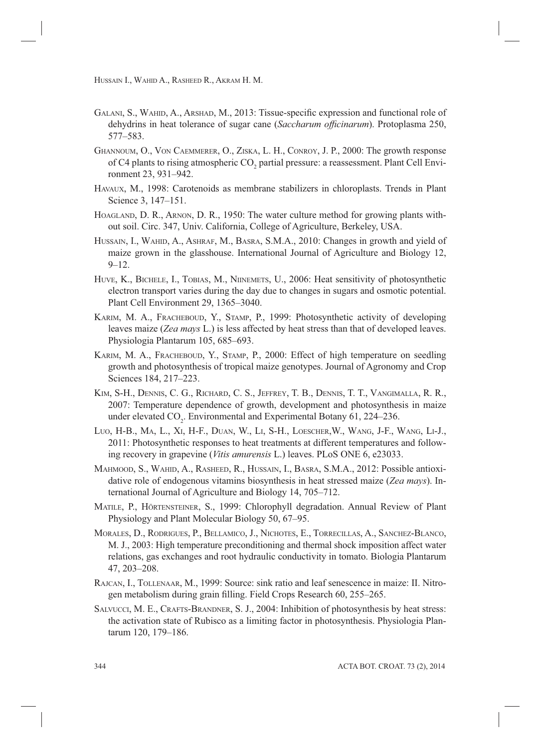- GALANI, S., WAHID, A., ARSHAD, M., 2013: Tissue-specific expression and functional role of dehydrins in heat tolerance of sugar cane (*Saccharum officinarum*). Protoplasma 250, 577–583.
- GHANNOUM, O., VON CAEMMERER, O., ZISKA, L. H., CONROY, J. P., 2000: The growth response of C4 plants to rising atmospheric  $\mathrm{CO}_2$  partial pressure: a reassessment. Plant Cell Environment 23, 931–942.
- HAVAUX, M., 1998: Carotenoids as membrane stabilizers in chloroplasts. Trends in Plant Science 3, 147–151.
- HOAGLAND, D. R., ARNON, D. R., 1950: The water culture method for growing plants without soil. Circ. 347, Univ. California, College of Agriculture, Berkeley, USA.
- HUSSAIN, I., WAHID, A., ASHRAF, M., BASRA, S.M.A., 2010: Changes in growth and yield of maize grown in the glasshouse. International Journal of Agriculture and Biology 12,  $9 - 12.$
- HUVE, K., BICHELE, I., TOBIAS, M., NIINEMETS, U., 2006: Heat sensitivity of photosynthetic electron transport varies during the day due to changes in sugars and osmotic potential. Plant Cell Environment 29, 1365–3040.
- KARIM, M. A., FRACHEBOUD, Y., STAMP, P., 1999: Photosynthetic activity of developing leaves maize (*Zea mays* L.) is less affected by heat stress than that of developed leaves. Physiologia Plantarum 105, 685–693.
- KARIM, M. A., FRACHEBOUD, Y., STAMP, P., 2000: Effect of high temperature on seedling growth and photosynthesis of tropical maize genotypes. Journal of Agronomy and Crop Sciences 184, 217–223.
- KIM, S-H., DENNIS, C. G., RICHARD, C. S., JEFFREY, T. B., DENNIS, T. T., VANGIMALLA, R. R., 2007: Temperature dependence of growth, development and photosynthesis in maize under elevated  $CO_2$ . Environmental and Experimental Botany 61, 224–236.
- LUO, H-B., MA, L., XI, H-F., DUAN, W., LI, S-H., LOESCHER,W., WANG, J-F., WANG, LI-J., 2011: Photosynthetic responses to heat treatments at different temperatures and following recovery in grapevine (*Vitis amurensis* L.) leaves. PLoS ONE 6, e23033.
- MAHMOOD, S., WAHID, A., RASHEED, R., HUSSAIN, I., BASRA, S.M.A., 2012: Possible antioxidative role of endogenous vitamins biosynthesis in heat stressed maize (*Zea mays*). International Journal of Agriculture and Biology 14, 705–712.
- MATILE, P., HÖRTENSTEINER, S., 1999: Chlorophyll degradation. Annual Review of Plant Physiology and Plant Molecular Biology 50, 67–95.
- MORALES, D., RODRIGUES, P., BELLAMICO, J., NICHOTES, E., TORRECILLAS, A., SANCHEZ-BLANCO, M. J., 2003: High temperature preconditioning and thermal shock imposition affect water relations, gas exchanges and root hydraulic conductivity in tomato. Biologia Plantarum 47, 203–208.
- RAJCAN, I., TOLLENAAR, M., 1999: Source: sink ratio and leaf senescence in maize: II. Nitrogen metabolism during grain filling. Field Crops Research 60, 255–265.
- SALVUCCI, M. E., CRAFTS-BRANDNER, S. J., 2004: Inhibition of photosynthesis by heat stress: the activation state of Rubisco as a limiting factor in photosynthesis. Physiologia Plantarum 120, 179–186.